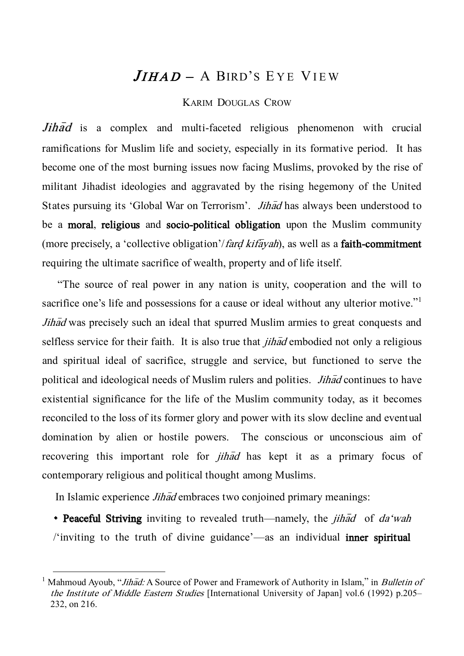# $JIHAD - A B$ IRD'S EYE VIEW

## KARIM DOUGLAS CROW

 $Jih\bar{a}d$  is a complex and multi-faceted religious phenomenon with crucial ramifications for Muslim life and society, especially in its formative period. It has become one of the most burning issues now facing Muslims, provoked by the rise of militant Jihadist ideologies and aggravated by the rising hegemony of the United States pursuing its 'Global War on Terrorism'. *Jihad* has always been understood to be a moral, religious and socio-political obligation upon the Muslim community (more precisely, a 'collective obligation'/*fard kifayah*), as well as a **faith-commitment** requiring the ultimate sacrifice of wealth, property and of life itself.

 'The source of real power in any nation is unity, cooperation and the will to sacrifice one's life and possessions for a cause or ideal without any ulterior motive."<sup>1</sup> Jihad was precisely such an ideal that spurred Muslim armies to great conquests and selfless service for their faith. It is also true that  $j$ *ihad* embodied not only a religious and spiritual ideal of sacrifice, struggle and service, but functioned to serve the political and ideological needs of Muslim rulers and polities. *Jihad* continues to have existential significance for the life of the Muslim community today, as it becomes reconciled to the loss of its former glory and power with its slow decline and eventual domination by alien or hostile powers. The conscious or unconscious aim of recovering this important role for *jihad* has kept it as a primary focus of contemporary religious and political thought among Muslims.

In Islamic experience *Jihad* embraces two conjoined primary meanings:

 $\overline{a}$ 

• Peaceful Striving inviting to revealed truth—namely, the *jihad* of da'wah /'inviting to the truth of divine guidance'—as an individual inner spiritual

<sup>&</sup>lt;sup>1</sup> Mahmoud Ayoub, "*Jihad:* A Source of Power and Framework of Authority in Islam," in *Bulletin of* the Institute of Middle Eastern Studies [International University of Japan] vol.6 (1992) p.205– 232, on 216.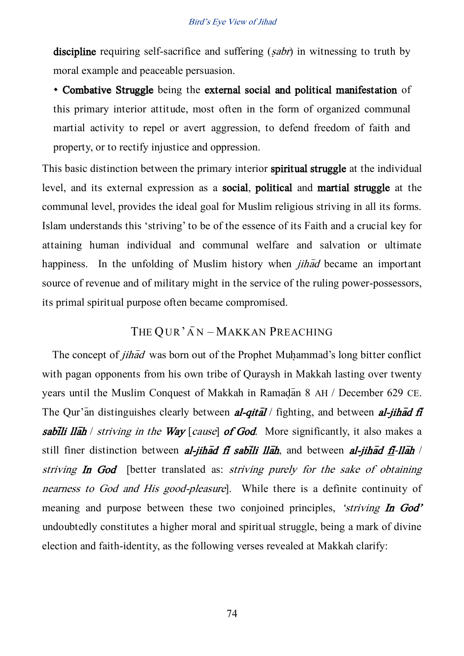discipline requiring self-sacrifice and suffering  $(sabr)$  in witnessing to truth by moral example and peaceable persuasion.

 Combative Struggle being the external social and political manifestation of this primary interior attitude, most often in the form of organized communal martial activity to repel or avert aggression, to defend freedom of faith and property, or to rectify injustice and oppression.

This basic distinction between the primary interior spiritual struggle at the individual level, and its external expression as a social, political and martial struggle at the communal level, provides the ideal goal for Muslim religious striving in all its forms. Islam understands this 'striving' to be of the essence of its Faith and a crucial key for attaining human individual and communal welfare and salvation or ultimate happiness. In the unfolding of Muslim history when *jihad* became an important source of revenue and of military might in the service of the ruling power-possessors, its primal spiritual purpose often became compromised.

# THE QUR'AN – MAKKAN PREACHING

The concept of *jihad* was born out of the Prophet Muhammad's long bitter conflict with pagan opponents from his own tribe of Quraysh in Makkah lasting over twenty years until the Muslim Conquest of Makkah in Ramadan 8 AH / December 629 CE. The Qur'an distinguishes clearly between **al-qital** / fighting, and between **al-jihad fi** sabili llah / striving in the Way [cause] of God. More significantly, it also makes a still finer distinction between al-jihad fi sabili llah, and between al-jihad fi-llah / striving In God [better translated as: *striving purely for the sake of obtaining* nearness to God and His good-pleasure]. While there is a definite continuity of meaning and purpose between these two conjoined principles, *'striving* In God' undoubtedly constitutes a higher moral and spiritual struggle, being a mark of divine election and faith-identity, as the following verses revealed at Makkah clarify: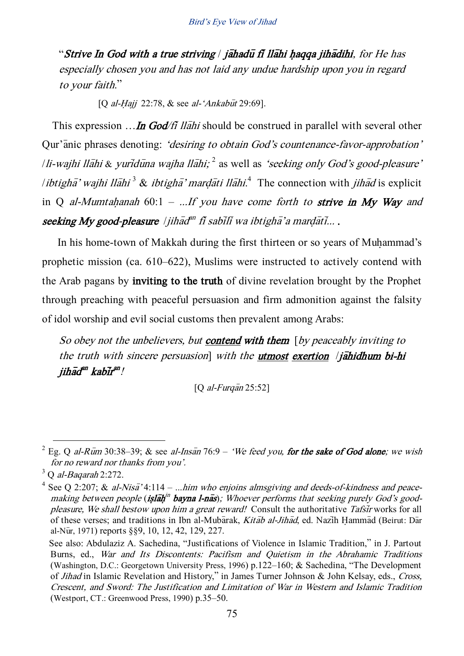"Strive In God with a true striving  $\frac{1}{2}$  jahadu fi Ilahi haqqa jihadihi, for He has especially chosen you and has not laid any undue hardship upon you in regard to your faith.'

[Q al-Hajj 22:78,  $&$  see al-'Ankabut 29:69].

This expression  $\ldots$  In God/fi Ilahi should be construed in parallel with several other Qur'anic phrases denoting: 'desiring to obtain God's countenance-favor-approbation' /li-wajhi llāhi & yuridūna wajha llāhi;  $^2$  as well as *'seeking only God's good-pleasure'* /*ibtigha*<sup>3</sup> wajhi llahi<sup>3</sup> & ibtigha<sup>3</sup> mardati llahi.<sup>4</sup> The connection with *jihad* is explicit in Q al-Mumtahanah 60:1 – ...If you have come forth to strive in My Way and seeking My good-pleasure |jihād $^{an}$  fi sabīlī wa ibtighā'a marḍātī... .

In his home-town of Makkah during the first thirteen or so vears of Muhammad's prophetic mission (ca. 610–622), Muslims were instructed to actively contend with the Arab pagans by inviting to the truth of divine revelation brought by the Prophet through preaching with peaceful persuasion and firm admonition against the falsity of idol worship and evil social customs then prevalent among Arabs:

So obey not the unbelievers, but **contend with them** [by peaceably inviting to the truth with sincere persuasion] with the utmost exertion  $/$ jahidhum bi-hi jihād<sup>an</sup> kabīr<sup>an</sup>!

 $[Q \text{ al-Furgan } 25:52]$ 

<sup>&</sup>lt;sup>2</sup> Eg. Q al-Rum 30:38–39; & see al-Insan 76:9 – 'We feed you, for the sake of God alone; we wish for no reward nor thanks from you'.

 $3$  O al-Baqarah 2:272.

<sup>&</sup>lt;sup>4</sup> See Q 2:207; & al-Nisa<sup>7</sup> 4:114 – ...him who enjoins almsgiving and deeds-of-kindness and peacemaking between people (**islah<sup>in</sup> bayna l-nas**); Whoever performs that seeking purely God's goodpleasure, We shall bestow upon him a great reward! Consult the authoritative Tafsir works for all of these verses; and traditions in Ibn al-Mubarak, Kitab al-Jihad, ed. Nazih Hammad (Beirut: Dar al-Nūr, 1971) reports §§9, 10, 12, 42, 129, 227.

See also: Abdulaziz A. Sachedina, 'Justifications of Violence in Islamic Tradition,' in J. Partout Burns, ed., War and Its Discontents: Pacifism and Quietism in the Abrahamic Traditions (Washington, D.C.: Georgetown University Press, 1996) p.122–160; & Sachedina, 'The Development of Jihad in Islamic Revelation and History,' in James Turner Johnson & John Kelsay, eds., Cross, Crescent, and Sword: The Justification and Limitation of War in Western and Islamic Tradition (Westport, CT.: Greenwood Press, 1990) p.35–50.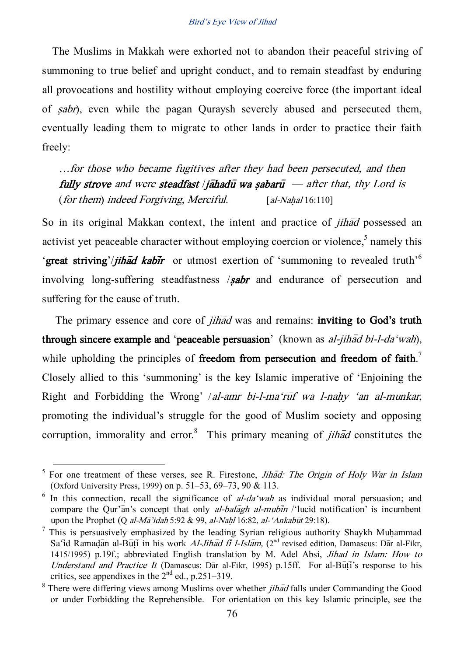The Muslims in Makkah were exhorted not to abandon their peaceful striving of summoning to true belief and upright conduct, and to remain steadfast by enduring all provocations and hostility without employing coercive force (the important ideal of sabr), even while the pagan Quraysh severely abused and persecuted them, eventually leading them to migrate to other lands in order to practice their faith freely:

…for those who became fugitives after they had been persecuted, and then fully strove and were steadfast *|iahadu wa sabaru*  $-$  after that, thy Lord is  $(for them) indeed For giving, Merciful.$  [al-Nahal 16:110]

So in its original Makkan context, the intent and practice of *jihad* possessed an activist yet peaceable character without employing coercion or violence,<sup>5</sup> namely this 'great striving'/*jihad kabir* or utmost exertion of 'summoning to revealed truth'<sup>6</sup> involving long-suffering steadfastness  $\ell$ **sabr** and endurance of persecution and suffering for the cause of truth.

The primary essence and core of *jihad* was and remains: **inviting to God's truth** through sincere example and 'peaceable persuasion' (known as al-jihad bi-l-da'wah), while upholding the principles of freedom from persecution and freedom of faith.<sup>7</sup> Closely allied to this 'summoning' is the key Islamic imperative of 'Enjoining the Right and Forbidding the Wrong' /al-amr bi-l-ma'ruif wa l-nahy 'an al-munkar, promoting the individual's struggle for the good of Muslim society and opposing corruption, immorality and error.<sup>8</sup> This primary meaning of *jihad* constitutes the

 $<sup>5</sup>$  For one treatment of these verses, see R. Firestone, *Jihad: The Origin of Holy War in Islam*</sup> (Oxford University Press, 1999) on p. 51–53, 69–73, 90 & 113.

 $6$  In this connection, recall the significance of *al-da'wah* as individual moral persuasion; and compare the Our'an's concept that only al-bala $\bar{q}$  al-mubin /'lucid notification' is incumbent upon the Prophet (Q al-Ma<sup>'</sup>idah 5:92 & 99, al-Nahl 16:82, al-'Ankabut 29:18).

This is persuasively emphasized by the leading Syrian religious authority Shaykh Muhammad Sa'id Ramadan al-Buți in his work *Al-Jihad fi l-Islam*, (2<sup>nd</sup> revised edition, Damascus: Dar al-Fikr, 1415/1995) p.19f.; abbreviated English translation by M. Adel Absi, Jihad in Islam: How to Understand and Practice It (Damascus: Dar al-Fikr, 1995) p.15ff. For al-Buti's response to his critics, see appendixes in the  $2<sup>nd</sup>$  ed., p.251–319.

 $8$  There were differing views among Muslims over whether *jihad* falls under Commanding the Good or under Forbidding the Reprehensible. For orientation on this key Islamic principle, see the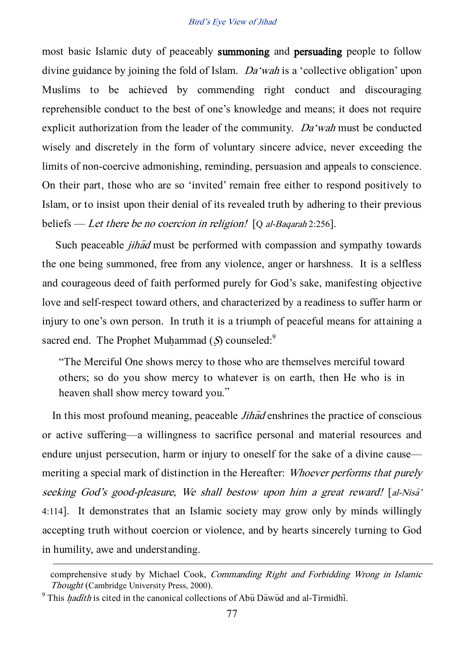most basic Islamic duty of peaceably summoning and persuading people to follow divine guidance by joining the fold of Islam. Da'wah is a 'collective obligation' upon Muslims to be achieved by commending right conduct and discouraging reprehensible conduct to the best of one's knowledge and means; it does not require explicit authorization from the leader of the community. Da'wah must be conducted wisely and discretely in the form of voluntary sincere advice, never exceeding the limits of non-coercive admonishing, reminding, persuasion and appeals to conscience. On their part, those who are so 'invited' remain free either to respond positively to Islam, or to insist upon their denial of its revealed truth by adhering to their previous beliefs — Let there be no coercion in religion!  $[Q \t{al}$ -Baqarah 2:256].

Such peaceable *jihad* must be performed with compassion and sympathy towards the one being summoned, free from any violence, anger or harshness. It is a selfless and courageous deed of faith performed purely for God's sake, manifesting objective love and self-respect toward others, and characterized by a readiness to suffer harm or injury to one's own person. In truth it is a triumph of peaceful means for attaining a sacred end. The Prophet Muhammad  $(S)$  counseled:<sup>9</sup>

'The Merciful One shows mercy to those who are themselves merciful toward others; so do you show mercy to whatever is on earth, then He who is in heaven shall show mercy toward you.'

In this most profound meaning, peaceable  $Jih\bar{a}d$  enshrines the practice of conscious or active suffering—a willingness to sacrifice personal and material resources and endure unjust persecution, harm or injury to oneself for the sake of a divine cause meriting a special mark of distinction in the Hereafter: *Whoever performs that purely* seeking God's good-pleasure, We shall bestow upon him a great reward! [al-Nisa' 4:114]. It demonstrates that an Islamic society may grow only by minds willingly accepting truth without coercion or violence, and by hearts sincerely turning to God in humility, awe and understanding.

comprehensive study by Michael Cook, Commanding Right and Forbidding Wrong in Islamic Thought (Cambridge University Press, 2000).

 $9$  This *hadith* is cited in the canonical collections of Abu Dawud and al-Tirmidhi.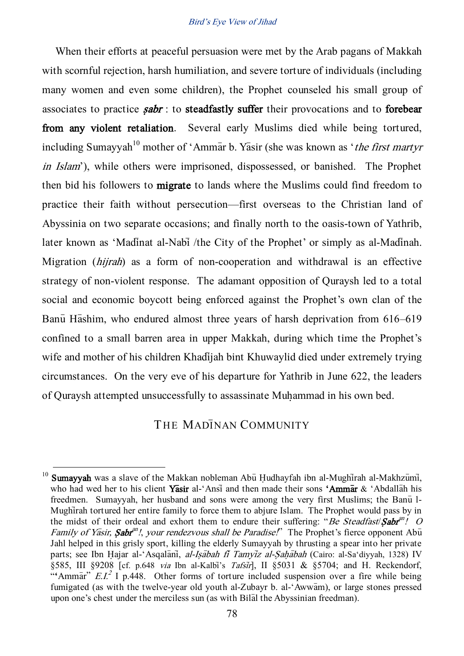When their efforts at peaceful persuasion were met by the Arab pagans of Makkah with scornful rejection, harsh humiliation, and severe torture of individuals (including many women and even some children), the Prophet counseled his small group of associates to practice  $sabr$ : to steadfastly suffer their provocations and to forebear from any violent retaliation. Several early Muslims died while being tortured, including Sumayyah<sup>10</sup> mother of 'Ammax b. Yasir (she was known as '*the first martyr* in Islam'), while others were imprisoned, dispossessed, or banished. The Prophet then bid his followers to migrate to lands where the Muslims could find freedom to practice their faith without persecution—first overseas to the Christian land of Abyssinia on two separate occasions; and finally north to the oasis-town of Yathrib, later known as 'Madinat al-Nabi /the City of the Prophet' or simply as al-Madinah. Migration (hijrah) as a form of non-cooperation and withdrawal is an effective strategy of non-violent response. The adamant opposition of Quraysh led to a total social and economic boycott being enforced against the Prophet's own clan of the Banu Hashim, who endured almost three years of harsh deprivation from 616–619 confined to a small barren area in upper Makkah, during which time the Prophet's wife and mother of his children Khadijah bint Khuwaylid died under extremely trying circumstances. On the very eve of his departure for Yathrib in June 622, the leaders of Quraysh attempted unsuccessfully to assassinate Muhammad in his own bed.

# THE MADINAN COMMUNITY

<sup>&</sup>lt;sup>10</sup> Sumavyah was a slave of the Makkan nobleman Abu Hudhayfah ibn al-Mughirah al-Makhzumi, who had wed her to his client Yasir al-'Ansi and then made their sons 'Ammar & 'Abdallah his freedmen. Sumayyah, her husband and sons were among the very first Muslims; the Banu<sup>1</sup>-Mughtar tortured her entire family to force them to abjure Islam. The Prophet would pass by in the midst of their ordeal and exhort them to endure their suffering: "Be Steadfast/ $\mathcal{S}abr^{an}$ ! O Family of Yasir, Sabr<sup>an</sup>!, your rendezvous shall be Paradise!" The Prophet's fierce opponent Abu Jahl helped in this grisly sport, killing the elderly Sumayyah by thrusting a spear into her private parts; see Ibn Hajar al-'Asqalani, al-Isabah fi Tamyiz al-Sahabah (Cairo: al-Sa'diyyah, 1328) IV §585, III §9208 [cf. p.648 via Ibn al-Kalbi's Tafsir], II §5031 & §5704; and H. Reckendorf, "Ammar"  $E.I^2$  I p.448. Other forms of torture included suspension over a fire while being fumigated (as with the twelve-year old youth al-Zubayr b. al-'Awwam), or large stones pressed upon one's chest under the merciless sun (as with Bilal the Abyssinian freedman).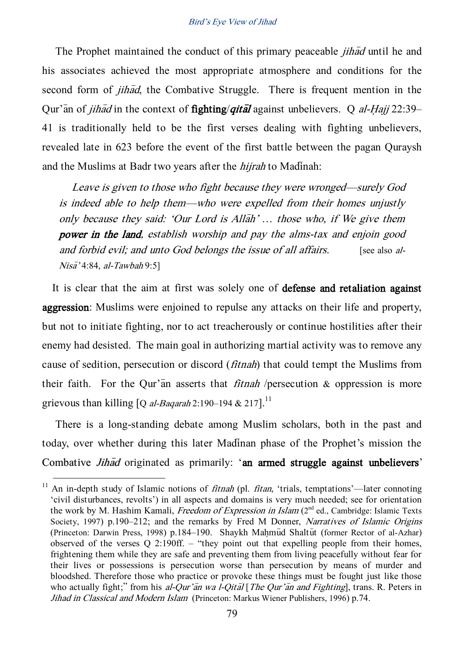The Prophet maintained the conduct of this primary peaceable *jihad* until he and his associates achieved the most appropriate atmosphere and conditions for the second form of *jihad*, the Combative Struggle. There is frequent mention in the Qur'an of *jihad* in the context of **fighting/***qital* against unbelievers. Q al-Hajj 22:39– 41 is traditionally held to be the first verses dealing with fighting unbelievers, revealed late in 623 before the event of the first battle between the pagan Quraysh and the Muslims at Badr two years after the *hijrah* to Madinah:

Leave is given to those who fight because they were wronged—surely God is indeed able to help them—who were expelled from their homes unjustly only because they said: 'Our Lord is Allah' ... those who, if We give them power in the land, establish worship and pay the alms-tax and enjoin good and forbid evil; and unto God belongs the issue of all affairs. [see also al- $Nis\bar{a}'$  4:84, al-Tawbah 9:5]

It is clear that the aim at first was solely one of defense and retaliation against aggression: Muslims were enjoined to repulse any attacks on their life and property, but not to initiate fighting, nor to act treacherously or continue hostilities after their enemy had desisted. The main goal in authorizing martial activity was to remove any cause of sedition, persecution or discord (fitnah) that could tempt the Muslims from their faith. For the Qur'an asserts that *fitnah* /persecution  $\&$  oppression is more grievous than killing  $[Q \t{al}$ -Baqarah 2:190–194 & 217].<sup>11</sup>

There is a long-standing debate among Muslim scholars, both in the past and today, over whether during this later Madinan phase of the Prophet's mission the Combative *Jihad* originated as primarily: 'an armed struggle against unbelievers'

<sup>&</sup>lt;sup>11</sup> An in-depth study of Islamic notions of *fitnah* (pl. *fitan*, 'trials, temptations'—later connoting 'civil disturbances, revolts') in all aspects and domains is very much needed; see for orientation the work by M. Hashim Kamali, *Freedom of Expression in Islam* (2<sup>nd</sup> ed., Cambridge: Islamic Texts Society, 1997) p.190–212; and the remarks by Fred M Donner, Narratives of Islamic Origins (Princeton: Darwin Press, 1998) p.184–190. Shaykh Mahmud Shaltut (former Rector of al-Azhar) observed of the verses Q 2:190ff. – 'they point out that expelling people from their homes, frightening them while they are safe and preventing them from living peacefully without fear for their lives or possessions is persecution worse than persecution by means of murder and bloodshed. Therefore those who practice or provoke these things must be fought just like those who actually fight;" from his al-Qur'an wa l-Qital [The Qur'an and Fighting], trans. R. Peters in Jihad in Classical and Modern Islam (Princeton: Markus Wiener Publishers, 1996) p.74.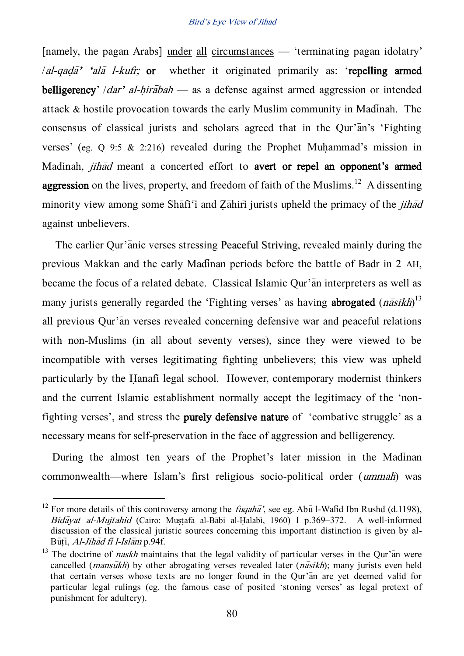[namely, the pagan Arabs] under all circumstances — 'terminating pagan idolatry'  $/al$ -qad $\overline{a}$ <sup>2</sup> 'ala<sup>-</sup> l-kufr; or whether it originated primarily as: 'repelling armed belligerency' /dar' al-hirabah — as a defense against armed aggression or intended attack  $\&$  hostile provocation towards the early Muslim community in Madinah. The consensus of classical jurists and scholars agreed that in the Qur'an's 'Fighting verses' (eg.  $Q$  9:5 & 2:216) revealed during the Prophet Muhammad's mission in Madinah, *jihad* meant a concerted effort to avert or repel an opponent's armed **aggression** on the lives, property, and freedom of faith of the Muslims.<sup>12</sup> A dissenting minority view among some Shafi<sup> $\tilde{\mathbf{i}}$ </sup> and Zahiri jurists upheld the primacy of the *jihad* against unbelievers.

The earlier Qur'anic verses stressing Peaceful Striving, revealed mainly during the previous Makkan and the early Madinan periods before the battle of Badr in 2 AH, became the focus of a related debate. Classical Islamic Our'an interpreters as well as many jurists generally regarded the 'Fighting verses' as having **abrogated**  $(n\overline{a}sikh)^{13}$ all previous Qur'an verses revealed concerning defensive war and peaceful relations with non-Muslims (in all about seventy verses), since they were viewed to be incompatible with verses legitimating fighting unbelievers; this view was upheld particularly by the Hanafi legal school. However, contemporary modernist thinkers and the current Islamic establishment normally accept the legitimacy of the 'nonfighting verses', and stress the purely defensive nature of 'combative struggle' as a necessary means for self-preservation in the face of aggression and belligerency.

During the almost ten years of the Prophet's later mission in the Madinan commonwealth—where Islam's first religious socio-political order (ummah) was

<sup>&</sup>lt;sup>12</sup> For more details of this controversy among the *fuqaha*<sup>'</sup>, see eg. Abu<sup>I</sup> l-Walid Ibn Rushd (d.1198), Bidayat al-Mujtahid (Cairo: Mustafa al-Babi al-Halabi, 1960) I p.369–372. A well-informed discussion of the classical juristic sources concerning this important distinction is given by al-Būti, Al-Jihād fi l-Islām p.94f.

<sup>&</sup>lt;sup>13</sup> The doctrine of *naskh* maintains that the legal validity of particular verses in the Qur'an were cancelled (*mansukh*) by other abrogating verses revealed later ( $n\bar{a}sikh$ ); many jurists even held that certain verses whose texts are no longer found in the Qur'an are yet deemed valid for particular legal rulings (eg. the famous case of posited 'stoning verses' as legal pretext of punishment for adultery).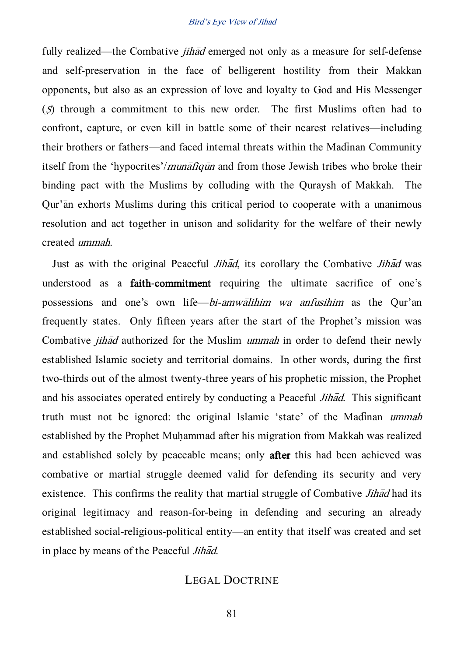fully realized—the Combative *jihad* emerged not only as a measure for self-defense and self-preservation in the face of belligerent hostility from their Makkan opponents, but also as an expression of love and loyalty to God and His Messenger (S) through a commitment to this new order. The first Muslims often had to confront, capture, or even kill in battle some of their nearest relatives—including their brothers or fathers—and faced internal threats within the Madinan Community itself from the 'hypocrites'/*munatiques* and from those Jewish tribes who broke their binding pact with the Muslims by colluding with the Quraysh of Makkah. The Qur'an exhorts Muslims during this critical period to cooperate with a unanimous resolution and act together in unison and solidarity for the welfare of their newly created ummah.

Just as with the original Peaceful *Jihad*, its corollary the Combative *Jihad* was understood as a faith-commitment requiring the ultimate sacrifice of one's possessions and one's own life—bi-amwalihim wa anfusihim as the Qur'an frequently states. Only fifteen years after the start of the Prophet's mission was Combative *jihad* authorized for the Muslim *ummah* in order to defend their newly established Islamic society and territorial domains. In other words, during the first two-thirds out of the almost twenty-three years of his prophetic mission, the Prophet and his associates operated entirely by conducting a Peaceful *Jihad*. This significant truth must not be ignored: the original Islamic 'state' of the Madinan ummah established by the Prophet Muhammad after his migration from Makkah was realized and established solely by peaceable means; only after this had been achieved was combative or martial struggle deemed valid for defending its security and very existence. This confirms the reality that martial struggle of Combative  $Jih\bar{a}d$  had its original legitimacy and reason-for-being in defending and securing an already established social-religious-political entity—an entity that itself was created and set in place by means of the Peaceful *Jihad*.

## LEGAL DOCTRINE

81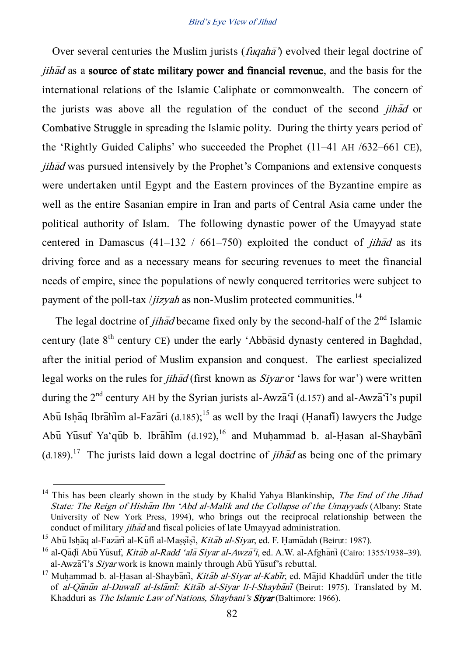Over several centuries the Muslim jurists (*fugaha*<sup> $\gamma$ </sup>) evolved their legal doctrine of  $jih\bar{a}d$  as a source of state military power and financial revenue, and the basis for the international relations of the Islamic Caliphate or commonwealth. The concern of the jurists was above all the regulation of the conduct of the second jihad or Combative Struggle in spreading the Islamic polity. During the thirty years period of the 'Rightly Guided Caliphs' who succeeded the Prophet (11–41 AH /632–661 CE), jihad was pursued intensively by the Prophet's Companions and extensive conquests were undertaken until Egypt and the Eastern provinces of the Byzantine empire as well as the entire Sasanian empire in Iran and parts of Central Asia came under the political authority of Islam. The following dynastic power of the Umayyad state centered in Damascus (41–132 / 661–750) exploited the conduct of *jihad* as its driving force and as a necessary means for securing revenues to meet the financial needs of empire, since the populations of newly conquered territories were subject to payment of the poll-tax /*jizyah* as non-Muslim protected communities.<sup>14</sup>

The legal doctrine of *jihad* became fixed only by the second-half of the  $2<sup>nd</sup>$  Islamic century (late  $8<sup>th</sup>$  century CE) under the early 'Abbasid dynasty centered in Baghdad, after the initial period of Muslim expansion and conquest. The earliest specialized legal works on the rules for *jihad* (first known as *Siyar* or 'laws for war') were written during the  $2<sup>nd</sup>$  century AH by the Syrian jurists al-Awza<sup> $\overline{q}$ </sup> (d.157) and al-Awza<sup> $\overline{q}$ </sup>'s pupil Abu Ishaq Ibrahim al-Fazari (d.185);<sup>15</sup> as well by the Iraqi (Hanafi) lawyers the Judge Abu Yusuf Ya'qub b. Ibrahim (d.192),<sup>16</sup> and Muhammad b. al-Hasan al-Shaybani (d.189).<sup>17</sup> The jurists laid down a legal doctrine of *jihad* as being one of the primary

<sup>&</sup>lt;sup>14</sup> This has been clearly shown in the study by Khalid Yahya Blankinship, *The End of the Jihad* State: The Reign of Hisham Ibn 'Abd al-Malik and the Collapse of the Umayyads (Albany: State University of New York Press, 1994), who brings out the reciprocal relationship between the conduct of military *jihad* and fiscal policies of late Umayyad administration.

<sup>&</sup>lt;sup>15</sup> Abū Ishāq al-Fazārī al-Kūfī al-Massisi, *Kitāb al-Siyar*, ed. F. Hamādah (Beirut: 1987).

<sup>&</sup>lt;sup>16</sup> al-Qadi Abu Yusuf, *Kitab al-Radd 'ala Sivar al-Awza<sup>-</sup>i*, ed. A.W. al-Afghani (Cairo: 1355/1938–39). al-Awza<sup> $\tilde{\mathbf{q}}$ 's *Sivar* work is known mainly through Abu<sup>Yu</sup>suf's rebuttal.</sup>

<sup>&</sup>lt;sup>17</sup> Muhammad b. al-Hasan al-Shaybani, *Kitab al-Siyar al-Kabir*, ed. Majid Khadduri under the title of al-Qanun al-Duwali al-Islami: Kitab al-Siyar li-l-Shaybani (Beirut: 1975). Translated by M. Khadduri as The Islamic Law of Nations, Shaybani's Sivar (Baltimore: 1966).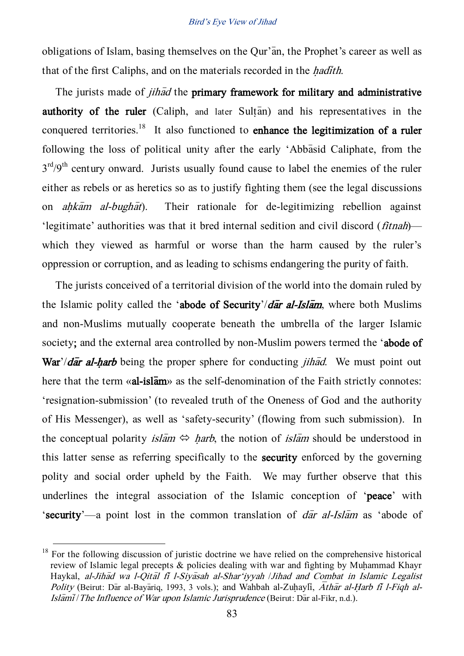obligations of Islam, basing themselves on the Our'an, the Prophet's career as well as that of the first Caliphs, and on the materials recorded in the *hadith*.

The jurists made of *jihad* the **primary framework for military and administrative** authority of the ruler  $(Caliph,$  and later Sultan) and his representatives in the conquered territories.<sup>18</sup> It also functioned to **enhance the legitimization of a ruler** following the loss of political unity after the early 'Abbasid Caliphate, from the  $3<sup>rd</sup>/9<sup>th</sup>$  century onward. Jurists usually found cause to label the enemies of the ruler either as rebels or as heretics so as to justify fighting them (see the legal discussions on *ahkam al-bughat*). Their rationale for de-legitimizing rebellion against 'legitimate' authorities was that it bred internal sedition and civil discord (fitnah) which they viewed as harmful or worse than the harm caused by the ruler's oppression or corruption, and as leading to schisms endangering the purity of faith.

The jurists conceived of a territorial division of the world into the domain ruled by the Islamic polity called the 'abode of Security'/ $d\bar{a}$ r al-Isl $\bar{a}$ m, where both Muslims and non-Muslims mutually cooperate beneath the umbrella of the larger Islamic society; and the external area controlled by non-Muslim powers termed the 'abode of War'/dar al-harb being the proper sphere for conducting *jihad*. We must point out here that the term «al-islam» as the self-denomination of the Faith strictly connotes: 'resignation-submission' (to revealed truth of the Oneness of God and the authority of His Messenger), as well as 'safety-security' (flowing from such submission). In the conceptual polarity *islam*  $\Leftrightarrow$  *harb*, the notion of *islam* should be understood in this latter sense as referring specifically to the security enforced by the governing polity and social order upheld by the Faith. We may further observe that this underlines the integral association of the Islamic conception of 'peace' with 'security'—a point lost in the common translation of  $d\bar{a}r$  al-Islam as 'abode of

 $18$  For the following discussion of juristic doctrine we have relied on the comprehensive historical review of Islamic legal precepts  $\&$  policies dealing with war and fighting by Muhammad Khayr Haykal, al-Jihad wa l-Qital fi l-Siyasah al-Shar'iyyah /Jihad and Combat in Islamic Legalist Polity (Beirut: Dar al-Bayariq, 1993, 3 vols.); and Wahbah al-Zuhayli,  $\overline{A}$ thar al-Harb fi l-Fiqh al-Islami/ The Influence of War upon Islamic Jurisprudence (Beirut: Dar al-Fikr, n.d.).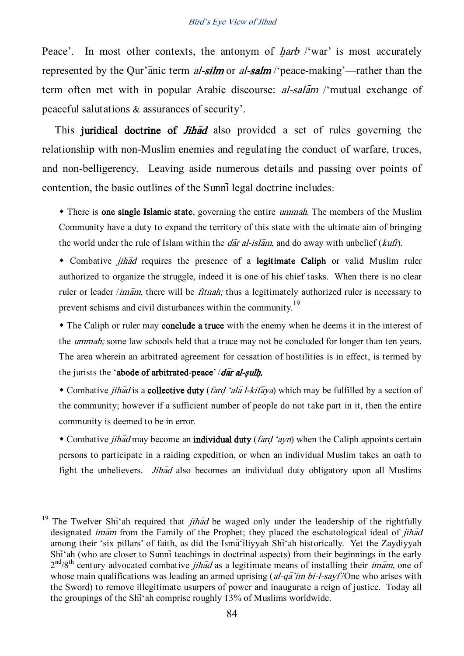Peace'. In most other contexts, the antonym of *harb* /'war' is most accurately represented by the Qur'anic term al-silm or al-salm /'peace-making'—rather than the term often met with in popular Arabic discourse:  $al-sal\overline{a}m$  /'mutual exchange of peaceful salutations & assurances of security'.

This juridical doctrine of *Jihad* also provided a set of rules governing the relationship with non-Muslim enemies and regulating the conduct of warfare, truces, and non-belligerency. Leaving aside numerous details and passing over points of contention, the basic outlines of the Sunni legal doctrine includes:

• There is one single Islamic state, governing the entire *ummah*. The members of the Muslim Community have a duty to expand the territory of this state with the ultimate aim of bringing the world under the rule of Islam within the  $d\bar{a}r$  al-islam, and do away with unbelief (kufr).

• Combative *jihad* requires the presence of a legitimate Caliph or valid Muslim ruler authorized to organize the struggle, indeed it is one of his chief tasks. When there is no clear ruler or leader */imam*, there will be *fitnah*; thus a legitimately authorized ruler is necessary to prevent schisms and civil disturbances within the community.<sup>19</sup>

• The Caliph or ruler may conclude a truce with the enemy when he deems it in the interest of the *ummah*; some law schools held that a truce may not be concluded for longer than ten years. The area wherein an arbitrated agreement for cessation of hostilities is in effect, is termed by the jurists the 'abode of arbitrated-peace'  $/d\bar{a}r$  al-sulh.

• Combative *jihad* is a **collective duty** (*fard 'ala l-kifaya*) which may be fulfilled by a section of the community; however if a sufficient number of people do not take part in it, then the entire community is deemed to be in error.

• Combative *jihad* may become an **individual duty** (*fard 'ayn*) when the Caliph appoints certain persons to participate in a raiding expedition, or when an individual Muslim takes an oath to fight the unbelievers. *Jihad* also becomes an individual duty obligatory upon all Muslims

<sup>&</sup>lt;sup>19</sup> The Twelver Shi<sup>\*</sup>ah required that *jihad* be waged only under the leadership of the rightfully designated *imam* from the Family of the Prophet; they placed the eschatological ideal of *jihad* among their 'six pillars' of faith, as did the Isma iliyyah Shi'ah historically. Yet the Zaydiyyah Shi<sup>\*</sup>ah (who are closer to Sunni<sup>†</sup> teachings in doctrinal aspects) from their beginnings in the early  $2<sup>nd</sup>/8<sup>th</sup>$  century advocated combative *jihad* as a legitimate means of installing their *imam*, one of whose main qualifications was leading an armed uprising  $(al-q\bar{a}'im\ bi-l-sayf/One$  who arises with the Sword) to remove illegitimate usurpers of power and inaugurate a reign of justice. Today all the groupings of the Shi<sup>\*</sup>ah comprise roughly 13% of Muslims worldwide.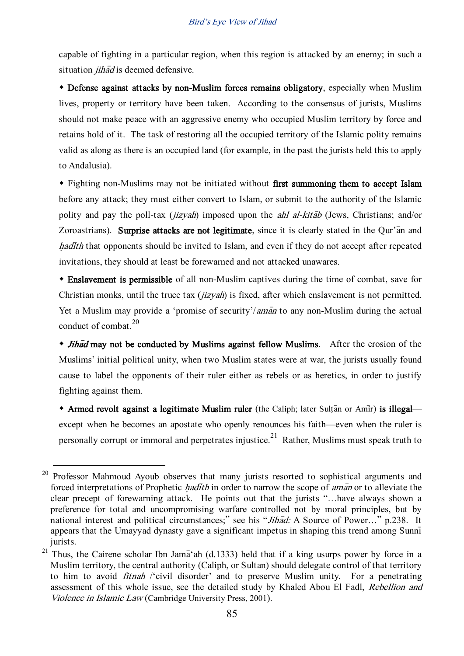capable of fighting in a particular region, when this region is attacked by an enemy; in such a situation  $\hat{i}$ had is deemed defensive.

 Defense against attacks by non-Muslim forces remains obligatory, especially when Muslim lives, property or territory have been taken. According to the consensus of jurists, Muslims should not make peace with an aggressive enemy who occupied Muslim territory by force and retains hold of it. The task of restoring all the occupied territory of the Islamic polity remains valid as along as there is an occupied land (for example, in the past the jurists held this to apply to Andalusia).

 Fighting non-Muslims may not be initiated without first summoning them to accept Islam before any attack; they must either convert to Islam, or submit to the authority of the Islamic polity and pay the poll-tax ( $jizyah$ ) imposed upon the *ahl al-kitab* (Jews, Christians; and/or Zoroastrians). Surprise attacks are not legitimate, since it is clearly stated in the Qur'an and hadith that opponents should be invited to Islam, and even if they do not accept after repeated invitations, they should at least be forewarned and not attacked unawares.

 Enslavement is permissible of all non-Muslim captives during the time of combat, save for Christian monks, until the truce tax *(jizyah)* is fixed, after which enslavement is not permitted. Yet a Muslim may provide a 'promise of security'/*aman* to any non-Muslim during the actual conduct of combat. $^{20}$ 

• Jihad may not be conducted by Muslims against fellow Muslims. After the erosion of the Muslims' initial political unity, when two Muslim states were at war, the jurists usually found cause to label the opponents of their ruler either as rebels or as heretics, in order to justify fighting against them.

 $\bullet$  Armed revolt against a legitimate Muslim ruler (the Caliph; later Sultan or Amir) is illegal except when he becomes an apostate who openly renounces his faith—even when the ruler is personally corrupt or immoral and perpetrates injustice.<sup>21</sup> Rather, Muslims must speak truth to

 $20$  Professor Mahmoud Ayoub observes that many jurists resorted to sophistical arguments and forced interpretations of Prophetic *hadith* in order to narrow the scope of *aman* or to alleviate the clear precept of forewarning attack. He points out that the jurists '…have always shown a preference for total and uncompromising warfare controlled not by moral principles, but by national interest and political circumstances;" see his "Jihad: A Source of Power..." p.238. It appears that the Umayyad dynasty gave a significant impetus in shaping this trend among Sunni jurists.

<sup>&</sup>lt;sup>21</sup> Thus, the Cairene scholar Ibn Jama<sup>'</sup>ah (d.1333) held that if a king usurps power by force in a Muslim territory, the central authority (Caliph, or Sultan) should delegate control of that territory to him to avoid fitnah /'civil disorder' and to preserve Muslim unity. For a penetrating assessment of this whole issue, see the detailed study by Khaled Abou El Fadl, Rebellion and Violence in Islamic Law (Cambridge University Press, 2001).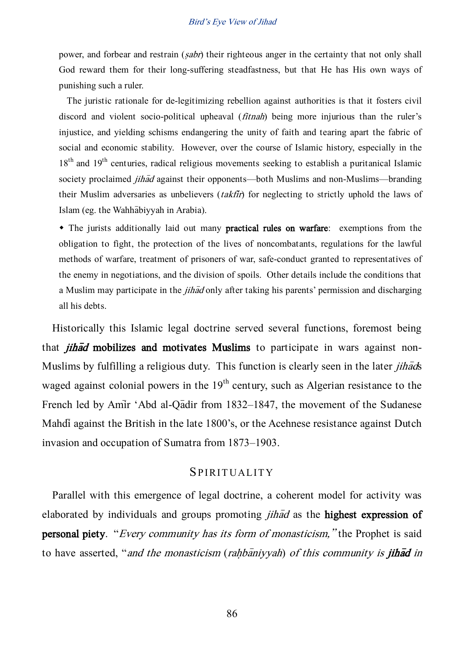power, and forbear and restrain (sabr) their righteous anger in the certainty that not only shall God reward them for their long-suffering steadfastness, but that He has His own ways of punishing such a ruler.

The juristic rationale for de-legitimizing rebellion against authorities is that it fosters civil discord and violent socio-political upheaval *(fitnah)* being more injurious than the ruler's injustice, and yielding schisms endangering the unity of faith and tearing apart the fabric of social and economic stability. However, over the course of Islamic history, especially in the  $18<sup>th</sup>$  and  $19<sup>th</sup>$  centuries, radical religious movements seeking to establish a puritanical Islamic society proclaimed *jihad* against their opponents—both Muslims and non-Muslims—branding their Muslim adversaries as unbelievers *(takfir)* for neglecting to strictly uphold the laws of Islam (eg. the Wahhabiyyah in Arabia).

 The jurists additionally laid out many practical rules on warfare: exemptions from the obligation to fight, the protection of the lives of noncombatants, regulations for the lawful methods of warfare, treatment of prisoners of war, safe-conduct granted to representatives of the enemy in negotiations, and the division of spoils. Other details include the conditions that a Muslim may participate in the *jihad* only after taking his parents' permission and discharging all his debts.

Historically this Islamic legal doctrine served several functions, foremost being that *jihad* mobilizes and motivates Muslims to participate in wars against non-Muslims by fulfilling a religious duty. This function is clearly seen in the later *jihads* waged against colonial powers in the  $19<sup>th</sup>$  century, such as Algerian resistance to the French led by Amir 'Abd al-Qadir from 1832–1847, the movement of the Sudanese Mahdi against the British in the late 1800's, or the Acehnese resistance against Dutch invasion and occupation of Sumatra from 1873–1903.

### SPIRITUALITY

Parallel with this emergence of legal doctrine, a coherent model for activity was elaborated by individuals and groups promoting *jihad* as the **highest expression of personal piety.** "*Every community has its form of monasticism*," the Prophet is said to have asserted, "and the monasticism (rahbaniyyah) of this community is jihad in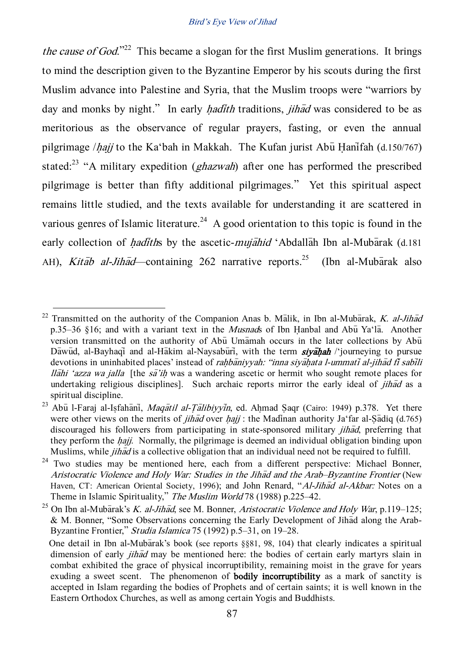the cause of God."<sup>22</sup> This became a slogan for the first Muslim generations. It brings to mind the description given to the Byzantine Emperor by his scouts during the first Muslim advance into Palestine and Syria, that the Muslim troops were 'warriors by day and monks by night." In early *hadith* traditions, *jihad* was considered to be as meritorious as the observance of regular prayers, fasting, or even the annual pilgrimage */hajj* to the Ka'bah in Makkah. The Kufan jurist Abu Hanifah (d.150/767) stated:<sup>23</sup> "A military expedition ( $ghazwah$ ) after one has performed the prescribed pilgrimage is better than fifty additional pilgrimages.' Yet this spiritual aspect remains little studied, and the texts available for understanding it are scattered in various genres of Islamic literature.<sup>24</sup> A good orientation to this topic is found in the early collection of *hadiths* by the ascetic-*mujahid* 'Abdallah Ibn al-Mubarak (d.181) AH), *Kitāb al-Jihād*—containing 262 narrative reports.<sup>25</sup> (Ibn al-Mubārak also

<sup>&</sup>lt;sup>22</sup> Transmitted on the authority of the Companion Anas b. Malik, in Ibn al-Mubarak, K. al-Jihad p.35–36 §16; and with a variant text in the *Musnads* of Ibn Hanbal and Abu<sup>x</sup>a'la. Another version transmitted on the authority of Ab $\bar{u}$  Umamah occurs in the later collections by Ab $\bar{u}$ Dawud, al-Bayhaqi and al-Hakim al-Naysaburi, with the term **sivaliah** /'journeying to pursue devotions in uninhabited places' instead of *rahbaniyyah: "inna siyahata l-ummati al-jihad fi sabili llahi 'azza wa jalla* [the  $s\bar{a}'$ *ih* was a wandering ascetic or hermit who sought remote places for undertaking religious disciplines]. Such archaic reports mirror the early ideal of *jihad* as a spiritual discipline.

<sup>&</sup>lt;sup>23</sup> Abū l-Faraj al-Isfahāni, Maqātil al-Țālibiyyin, ed. Ahmad Saqr (Cairo: 1949) p.378. Yet there were other views on the merits of *jihad* over *hajj* : the Madinan authority Ja'far al-Sadiq (d.765) discouraged his followers from participating in state-sponsored military *jihad*, preferring that they perform the *hajj.* Normally, the pilgrimage is deemed an individual obligation binding upon Muslims, while *jihad* is a collective obligation that an individual need not be required to fulfill.

 $24$  Two studies may be mentioned here, each from a different perspective: Michael Bonner, Aristocratic Violence and Holy War: Studies in the Jihad and the Arab–Byzantine Frontier (New Haven, CT: American Oriental Society, 1996); and John Renard, "Al-Jihad al-Akbar: Notes on a Theme in Islamic Spirituality," The Muslim World 78 (1988) p.225–42.

<sup>&</sup>lt;sup>25</sup> On Ibn al-Mubarak's *K. al-Jihad*, see M. Bonner, Aristocratic Violence and Holy War, p.119–125; & M. Bonner, "Some Observations concerning the Early Development of Jihad along the Arab-Byzantine Frontier," Studia Islamica 75 (1992) p.5–31, on 19–28.

One detail in Ibn al-Mubarak's book (see reports  $\S$ §81, 98, 104) that clearly indicates a spiritual dimension of early *jihad* may be mentioned here: the bodies of certain early martyrs slain in combat exhibited the grace of physical incorruptibility, remaining moist in the grave for years exuding a sweet scent. The phenomenon of **bodily incorruptibility** as a mark of sanctity is accepted in Islam regarding the bodies of Prophets and of certain saints; it is well known in the Eastern Orthodox Churches, as well as among certain Yogis and Buddhists.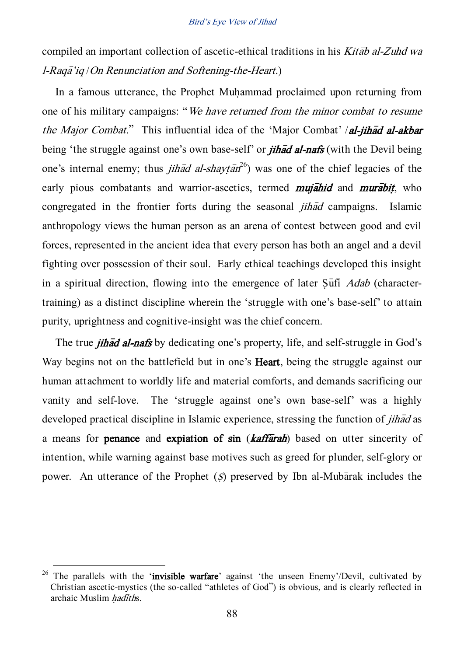compiled an important collection of ascetic-ethical traditions in his Kitab al-Zuhd wa l-Raqa<sup>7</sup>iq / On Renunciation and Softening-the-Heart.)

In a famous utterance, the Prophet Muhammad proclaimed upon returning from one of his military campaigns: 'We have returned from the minor combat to resume the Major Combat." This influential idea of the 'Major Combat' /al-jihad al-akbar being 'the struggle against one's own base-self' or *jihad al-nafs* (with the Devil being one's internal enemy; thus *jihad al-shaytan*<sup>26</sup>) was one of the chief legacies of the early pious combatants and warrior-ascetics, termed **mujahid** and **murabit**, who congregated in the frontier forts during the seasonal  $j$ *ihad* campaigns. Islamic anthropology views the human person as an arena of contest between good and evil forces, represented in the ancient idea that every person has both an angel and a devil fighting over possession of their soul. Early ethical teachings developed this insight in a spiritual direction, flowing into the emergence of later  $S\bar{u}$  *Adab* (charactertraining) as a distinct discipline wherein the 'struggle with one's base-self' to attain purity, uprightness and cognitive-insight was the chief concern.

The true *jihad al-nafs* by dedicating one's property, life, and self-struggle in God's Way begins not on the battlefield but in one's Heart, being the struggle against our human attachment to worldly life and material comforts, and demands sacrificing our vanity and self-love. The 'struggle against one's own base-self' was a highly developed practical discipline in Islamic experience, stressing the function of *jihad* as a means for **penance** and **expiation of sin** (**kaffarah**) based on utter sincerity of intention, while warning against base motives such as greed for plunder, self-glory or power. An utterance of the Prophet  $(S)$  preserved by Ibn al-Mubarak includes the

<sup>&</sup>lt;sup>26</sup> The parallels with the 'invisible warfare' against 'the unseen Enemy'/Devil, cultivated by Christian ascetic-mystics (the so-called 'athletes of God') is obvious, and is clearly reflected in archaic Muslim hadiths.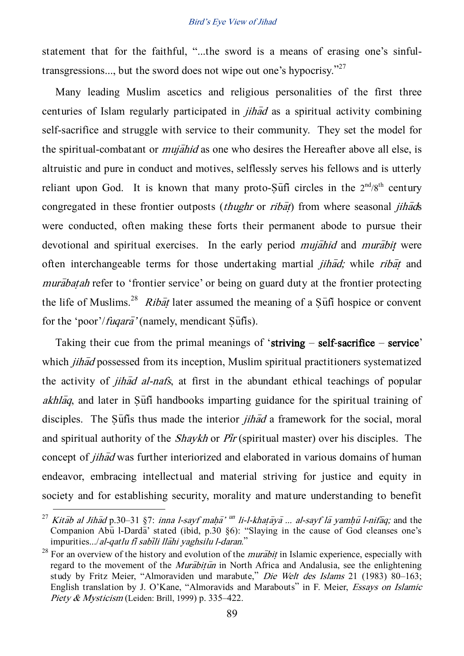statement that for the faithful, "...the sword is a means of erasing one's sinfultransgressions..., but the sword does not wipe out one's hypocrisy."<sup>27</sup>

Many leading Muslim ascetics and religious personalities of the first three centuries of Islam regularly participated in  $jih\bar{a}d$  as a spiritual activity combining self-sacrifice and struggle with service to their community. They set the model for the spiritual-combatant or *mujahid* as one who desires the Hereafter above all else, is altruistic and pure in conduct and motives, selflessly serves his fellows and is utterly reliant upon God. It is known that many proto- $\overline{S}$ ufi circles in the  $2^{nd}/8^{th}$  century congregated in these frontier outposts (*thughr* or *ribat*) from where seasonal *jihads* were conducted, often making these forts their permanent abode to pursue their devotional and spiritual exercises. In the early period *mujahid* and *murabit* were often interchangeable terms for those undertaking martial *jihad*; while *ribat* and murabatah refer to 'frontier service' or being on guard duty at the frontier protecting the life of Muslims.<sup>28</sup> Ribat later assumed the meaning of a Sufi hospice or convent for the 'poor'/*fuqara*' (namely, mendicant Sufis).

Taking their cue from the primal meanings of 'striving – self-sacrifice – service' which *jihad* possessed from its inception, Muslim spiritual practitioners systematized the activity of *jihad al-nafs*, at first in the abundant ethical teachings of popular  $akh<sub>l</sub>āq$ , and later in Sūfī handbooks imparting guidance for the spiritual training of disciples. The Suffis thus made the interior *jihad* a framework for the social, moral and spiritual authority of the *Shaykh* or  $\overline{Pic}$  (spiritual master) over his disciples. The concept of *jihad* was further interiorized and elaborated in various domains of human endeavor, embracing intellectual and material striving for justice and equity in society and for establishing security, morality and mature understanding to benefit

<sup>&</sup>lt;sup>27</sup> Kitab al Jihad p.30–31 §7: inna l-sayf maha<sup>7 un</sup> li-l-khaṭaya ... al-sayf la yamhū l-nifaq; and the Companion Abu<sup>1</sup>-Darda<sup>3</sup> stated (ibid, p.30  $\S6$ ): "Slaying in the cause of God cleanses one's  $impurities.../al-gatlu f\bar{i} sab\bar{i}li Il\bar{a}hi vaghsilu l-daran."$ 

<sup>&</sup>lt;sup>28</sup> For an overview of the history and evolution of the *murabit* in Islamic experience, especially with regard to the movement of the *Murabitum* in North Africa and Andalusia, see the enlightening study by Fritz Meier, 'Almoraviden und marabute,' Die Welt des Islams 21 (1983) 80–163; English translation by J. O'Kane, 'Almoravids and Marabouts' in F. Meier, Essays on Islamic Piety & Mysticism (Leiden: Brill, 1999) p. 335–422.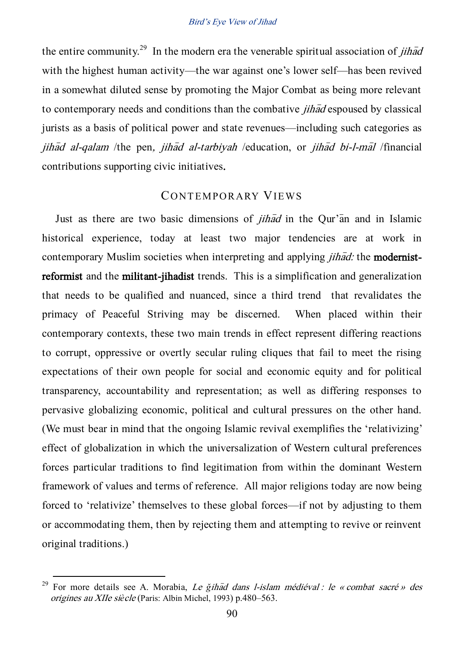the entire community.<sup>29</sup> In the modern era the venerable spiritual association of *jihad* with the highest human activity—the war against one's lower self—has been revived in a somewhat diluted sense by promoting the Major Combat as being more relevant to contemporary needs and conditions than the combative *jihad* espoused by classical jurists as a basis of political power and state revenues—including such categories as jihad al-qalam /the pen, jihad al-tarbiyah /education, or jihad bi-l-mal /financial contributions supporting civic initiatives.

## CONTEMPORARY VIEWS

Just as there are two basic dimensions of  $j$ *ihad* in the Qur'an and in Islamic historical experience, today at least two major tendencies are at work in contemporary Muslim societies when interpreting and applying *jihad:* the **modernist**reformist and the militant-jihadist trends. This is a simplification and generalization that needs to be qualified and nuanced, since a third trend that revalidates the primacy of Peaceful Striving may be discerned. When placed within their contemporary contexts, these two main trends in effect represent differing reactions to corrupt, oppressive or overtly secular ruling cliques that fail to meet the rising expectations of their own people for social and economic equity and for political transparency, accountability and representation; as well as differing responses to pervasive globalizing economic, political and cultural pressures on the other hand. (We must bear in mind that the ongoing Islamic revival exemplifies the 'relativizing' effect of globalization in which the universalization of Western cultural preferences forces particular traditions to find legitimation from within the dominant Western framework of values and terms of reference. All major religions today are now being forced to 'relativize' themselves to these global forces—if not by adjusting to them or accommodating them, then by rejecting them and attempting to revive or reinvent original traditions.)

<sup>&</sup>lt;sup>29</sup> For more details see A. Morabia, *Le gihad dans l-islam médiéval : le « combat sacré » des* origines au XIIe si*è*cle (Paris: Albin Michel, 1993) p.480–563.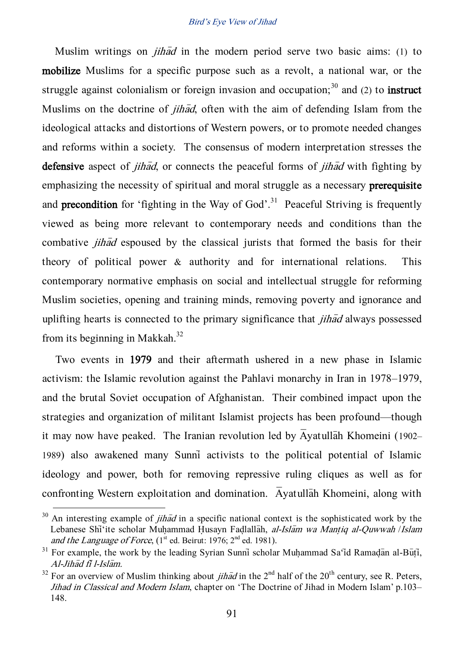Muslim writings on *jihad* in the modern period serve two basic aims: (1) to mobilize Muslims for a specific purpose such as a revolt, a national war, or the struggle against colonialism or foreign invasion and occupation;<sup>30</sup> and (2) to **instruct** Muslims on the doctrine of *jihad*, often with the aim of defending Islam from the ideological attacks and distortions of Western powers, or to promote needed changes and reforms within a society. The consensus of modern interpretation stresses the defensive aspect of *jihad*, or connects the peaceful forms of *jihad* with fighting by emphasizing the necessity of spiritual and moral struggle as a necessary **prerequisite** and **precondition** for 'fighting in the Way of God'.<sup>31</sup> Peaceful Striving is frequently viewed as being more relevant to contemporary needs and conditions than the combative *jihad* espoused by the classical jurists that formed the basis for their theory of political power & authority and for international relations. This contemporary normative emphasis on social and intellectual struggle for reforming Muslim societies, opening and training minds, removing poverty and ignorance and uplifting hearts is connected to the primary significance that *jihad* always possessed from its beginning in Makkah.<sup>32</sup>

Two events in 1979 and their aftermath ushered in a new phase in Islamic activism: the Islamic revolution against the Pahlavi monarchy in Iran in 1978–1979, and the brutal Soviet occupation of Afghanistan. Their combined impact upon the strategies and organization of militant Islamist projects has been profound—though it may now have peaked. The Iranian revolution led by  $\overline{A}$ yatullah Khomeini (1902– 1989) also awakened many Sunni> activists to the political potential of Islamic ideology and power, both for removing repressive ruling cliques as well as for confronting Western exploitation and domination. Avatullah Khomeini, along with

 $30$  An interesting example of *jihad* in a specific national context is the sophisticated work by the Lebanese Shi<sup>\*</sup>ite scholar Muhammad Husayn Fadlallah, al-Islam wa Mantiq al-Quwwah /Islam and the Language of Force,  $(1<sup>st</sup>$  ed. Beirut: 1976;  $2<sup>nd</sup>$  ed. 1981).

 $31$  For example, the work by the leading Syrian Sunni scholar Muhammad Sa'id Ramadan al-Buti, Al-Jihad fi l-Islam.

<sup>&</sup>lt;sup>32</sup> For an overview of Muslim thinking about *jihad* in the 2<sup>nd</sup> half of the 20<sup>th</sup> century, see R. Peters, Jihad in Classical and Modern Islam, chapter on 'The Doctrine of Jihad in Modern Islam' p.103– 148.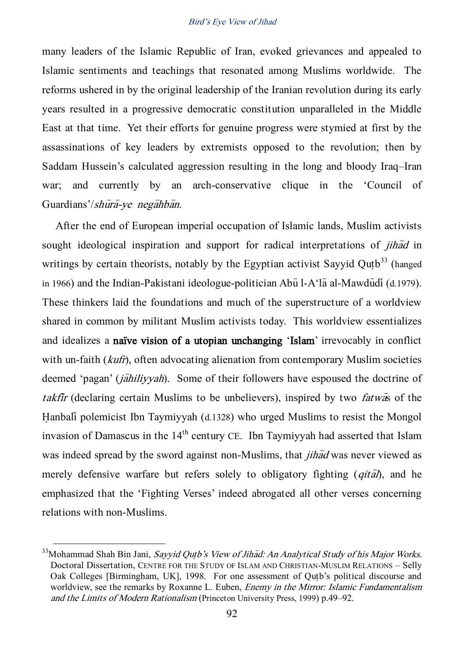many leaders of the Islamic Republic of Iran, evoked grievances and appealed to Islamic sentiments and teachings that resonated among Muslims worldwide. The reforms ushered in by the original leadership of the Iranian revolution during its early years resulted in a progressive democratic constitution unparalleled in the Middle East at that time. Yet their efforts for genuine progress were stymied at first by the assassinations of key leaders by extremists opposed to the revolution; then by Saddam Hussein's calculated aggression resulting in the long and bloody Iraq–Iran war; and currently by an arch-conservative clique in the 'Council of Guardians'/shūra-ye negahban.

After the end of European imperial occupation of Islamic lands, Muslim activists sought ideological inspiration and support for radical interpretations of *jihad* in writings by certain theorists, notably by the Egyptian activist Sayyid Qutb<sup>33</sup> (hanged in 1966) and the Indian-Pakistani ideologue-politician Abu l-A $\hat{a}$  al-Mawdudi (d.1979). These thinkers laid the foundations and much of the superstructure of a worldview shared in common by militant Muslim activists today. This worldview essentializes and idealizes a naïve vision of a utopian unchanging 'Islam' irrevocably in conflict with un-faith (*kufr*), often advocating alienation from contemporary Muslim societies deemed 'pagan' (*jahiliyyah*). Some of their followers have espoused the doctrine of takfir (declaring certain Muslims to be unbelievers), inspired by two *fatwas* of the Hanbali polemicist Ibn Taymiyyah (d.1328) who urged Muslims to resist the Mongol invasion of Damascus in the  $14<sup>th</sup>$  century CE. Ibn Taymiyyah had asserted that Islam was indeed spread by the sword against non-Muslims, that *jihad* was never viewed as merely defensive warfare but refers solely to obligatory fighting  $(qit\bar{a})$ , and he emphasized that the 'Fighting Verses' indeed abrogated all other verses concerning relations with non-Muslims.

 $33$ Mohammad Shah Bin Jani, Sayyid Qutb's View of Jihad: An Analytical Study of his Major Works. Doctoral Dissertation, CENTRE FOR THE STUDY OF ISLAM AND CHRISTIAN-MUSLIM RELATIONS – Selly Oak Colleges [Birmingham, UK], 1998. For one assessment of Qutb's political discourse and worldview, see the remarks by Roxanne L. Euben, *Enemy in the Mirror: Islamic Fundamentalism* and the Limits of Modern Rationalism (Princeton University Press, 1999) p.49–92.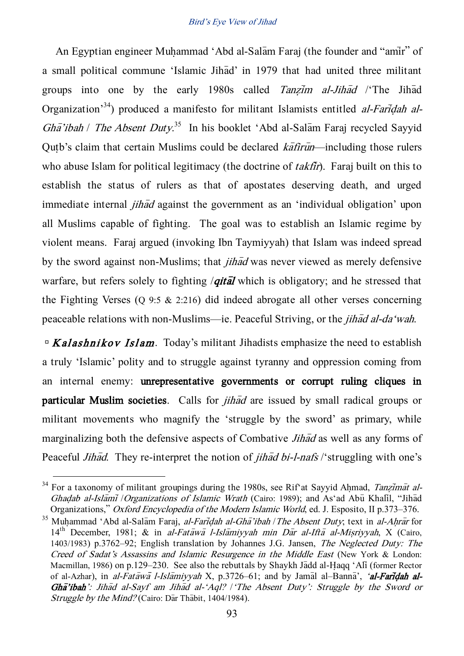An Egyptian engineer Muhammad 'Abd al-Salam Faraj (the founder and "amir" of a small political commune 'Islamic Jihad' in 1979 that had united three militant groups into one by the early  $1980s$  called Tanzim al-Jihad /'The Jihad Organization<sup>34</sup>) produced a manifesto for militant Islamists entitled *al-Faridah al-*Gha'ibah / The Absent Duty.<sup>35</sup> In his booklet 'Abd al-Salam Faraj recycled Sayyid Qutb's claim that certain Muslims could be declared  $k\bar{a}$  firm—including those rulers who abuse Islam for political legitimacy (the doctrine of  $t$ akfir). Faraj built on this to establish the status of rulers as that of apostates deserving death, and urged immediate internal *jihad* against the government as an 'individual obligation' upon all Muslims capable of fighting. The goal was to establish an Islamic regime by violent means. Faraj argued (invoking Ibn Taymiyyah) that Islam was indeed spread by the sword against non-Muslims; that  $\hat{i}$  that  $\hat{j}$  was never viewed as merely defensive warfare, but refers solely to fighting *| qital* which is obligatory; and he stressed that the Fighting Verses (Q 9:5 & 2:216) did indeed abrogate all other verses concerning peaceable relations with non-Muslims—ie. Peaceful Striving, or the *jihad al-da'wah*.

 $\Delta E$  Kalashnikov Islam. Today's militant Jihadists emphasize the need to establish a truly 'Islamic' polity and to struggle against tyranny and oppression coming from an internal enemy: unrepresentative governments or corrupt ruling cliques in particular Muslim societies. Calls for  $j$ *ihad* are issued by small radical groups or militant movements who magnify the 'struggle by the sword' as primary, while marginalizing both the defensive aspects of Combative *Jihad* as well as any forms of Peaceful *Jihad*. They re-interpret the notion of *jihad bi-l-nafs* /'struggling with one's

<sup>&</sup>lt;sup>34</sup> For a taxonomy of militant groupings during the 1980s, see Rif<sup>x</sup> at Sayyid Ahmad, Tanzimat al-Ghadab al-Islami / Organizations of Islamic Wrath (Cairo: 1989); and As'ad Abu Khalil, "Jihad Organizations,' Oxford Encyclopedia of the Modern Islamic World, ed. J. Esposito, II p.373–376.

<sup>&</sup>lt;sup>35</sup> Muhammad 'Abd al-Salam Faraj, al-Faridah al-Gha 'ibah / The Absent Duty; text in al-Ahrar for  $14<sup>th</sup>$  December, 1981; & in al-Fatawa l-Islamiyyah min Dar al-Ifta al-Misriyyah, X (Cairo, 1403/1983) p.3762–92; English translation by Johannes J.G. Jansen, The Neglected Duty: The Creed of Sadat's Assassins and Islamic Resurgence in the Middle East (New York & London: Macmillan, 1986) on p.129–230. See also the rebuttals by Shaykh Jadd al-Haqq 'Ali (former Rector of al-Azhar), in al-Fatawa l-Islamiyyah X, p.3726–61; and by Jamal al–Banna', 'al-Faridah al- $Gh\bar{a}$ 'ibah': Jihad al-Sayf am Jihad al-'Aql? | The Absent Duty': Struggle by the Sword or Struggle by the Mind? (Cairo: Dar Thabit, 1404/1984).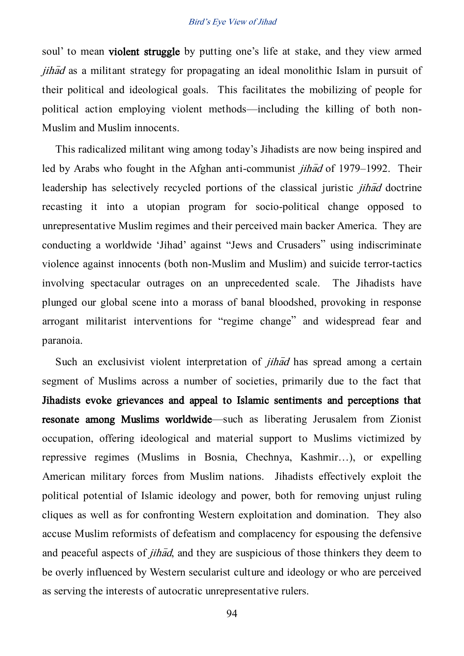soul' to mean violent struggle by putting one's life at stake, and they view armed  $jih\bar{a}d$  as a militant strategy for propagating an ideal monolithic Islam in pursuit of their political and ideological goals. This facilitates the mobilizing of people for political action employing violent methods—including the killing of both non-Muslim and Muslim innocents.

This radicalized militant wing among today's Jihadists are now being inspired and led by Arabs who fought in the Afghan anti-communist *jihad* of 1979–1992. Their leadership has selectively recycled portions of the classical juristic *jihad* doctrine recasting it into a utopian program for socio-political change opposed to unrepresentative Muslim regimes and their perceived main backer America. They are conducting a worldwide 'Jihad' against 'Jews and Crusaders' using indiscriminate violence against innocents (both non-Muslim and Muslim) and suicide terror-tactics involving spectacular outrages on an unprecedented scale. The Jihadists have plunged our global scene into a morass of banal bloodshed, provoking in response arrogant militarist interventions for 'regime change' and widespread fear and paranoia.

Such an exclusivist violent interpretation of  $\hat{j}$  has spread among a certain segment of Muslims across a number of societies, primarily due to the fact that Jihadists evoke grievances and appeal to Islamic sentiments and perceptions that resonate among Muslims worldwide—such as liberating Jerusalem from Zionist occupation, offering ideological and material support to Muslims victimized by repressive regimes (Muslims in Bosnia, Chechnya, Kashmir…), or expelling American military forces from Muslim nations. Jihadists effectively exploit the political potential of Islamic ideology and power, both for removing unjust ruling cliques as well as for confronting Western exploitation and domination. They also accuse Muslim reformists of defeatism and complacency for espousing the defensive and peaceful aspects of *jihad*, and they are suspicious of those thinkers they deem to be overly influenced by Western secularist culture and ideology or who are perceived as serving the interests of autocratic unrepresentative rulers.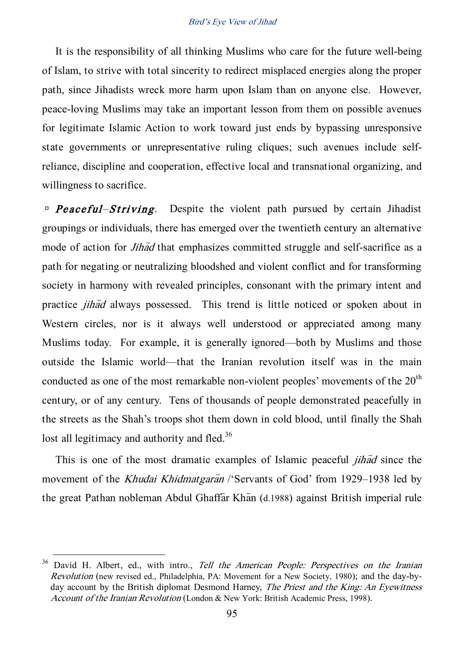It is the responsibility of all thinking Muslims who care for the future well-being of Islam, to strive with total sincerity to redirect misplaced energies along the proper path, since Jihadists wreck more harm upon Islam than on anyone else. However, peace-loving Muslims may take an important lesson from them on possible avenues for legitimate Islamic Action to work toward just ends by bypassing unresponsive state governments or unrepresentative ruling cliques; such avenues include selfreliance, discipline and cooperation, effective local and transnational organizing, and willingness to sacrifice.

 $P$ **Peaceful–Striving.** Despite the violent path pursued by certain Jihadist groupings or individuals, there has emerged over the twentieth century an alternative mode of action for *Jihad* that emphasizes committed struggle and self-sacrifice as a path for negating or neutralizing bloodshed and violent conflict and for transforming society in harmony with revealed principles, consonant with the primary intent and practice *jihad* always possessed. This trend is little noticed or spoken about in Western circles, nor is it always well understood or appreciated among many Muslims today. For example, it is generally ignored—both by Muslims and those outside the Islamic world—that the Iranian revolution itself was in the main conducted as one of the most remarkable non-violent peoples' movements of the  $20<sup>th</sup>$ century, or of any century. Tens of thousands of people demonstrated peacefully in the streets as the Shah's troops shot them down in cold blood, until finally the Shah lost all legitimacy and authority and fled.<sup>36</sup>

This is one of the most dramatic examples of Islamic peaceful *jihad* since the movement of the *Khudai Khidmatgaran* /'Servants of God' from 1929–1938 led by the great Pathan nobleman Abdul Ghaffar Khan (d.1988) against British imperial rule

 $36$  David H. Albert, ed., with intro., Tell the American People: Perspectives on the Iranian Revolution (new revised ed., Philadelphia, PA: Movement for a New Society, 1980); and the day-byday account by the British diplomat Desmond Harney, The Priest and the King: An Eyewitness Account of the Iranian Revolution (London & New York: British Academic Press, 1998).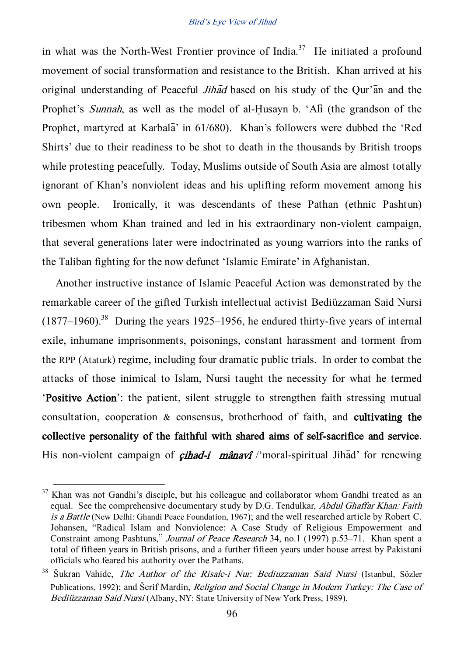in what was the North-West Frontier province of India.<sup>37</sup> He initiated a profound movement of social transformation and resistance to the British. Khan arrived at his original understanding of Peaceful *Jihad* based on his study of the Our'an and the Prophet's Sunnah, as well as the model of al-Husayn b. 'Ali (the grandson of the Prophet, martyred at Karbala<sup>'</sup> in 61/680). Khan's followers were dubbed the 'Red Shirts' due to their readiness to be shot to death in the thousands by British troops while protesting peacefully. Today, Muslims outside of South Asia are almost totally ignorant of Khan's nonviolent ideas and his uplifting reform movement among his own people. Ironically, it was descendants of these Pathan (ethnic Pashtun) tribesmen whom Khan trained and led in his extraordinary non-violent campaign, that several generations later were indoctrinated as young warriors into the ranks of the Taliban fighting for the now defunct 'Islamic Emirate' in Afghanistan.

Another instructive instance of Islamic Peaceful Action was demonstrated by the remarkable career of the gifted Turkish intellectual activist Bediüzzaman Said Nursi  $(1877-1960).$ <sup>38</sup> During the years 1925–1956, he endured thirty-five years of internal exile, inhumane imprisonments, poisonings, constant harassment and torment from the RPP (Ataturk) regime, including four dramatic public trials. In order to combat the attacks of those inimical to Islam, Nursi taught the necessity for what he termed 'Positive Action': the patient, silent struggle to strengthen faith stressing mutual consultation, cooperation & consensus, brotherhood of faith, and cultivating the collective personality of the faithful with shared aims of self-sacrifice and service. His non-violent campaign of *cihad-i* mânavî /'moral-spiritual Jihad' for renewing

<sup>&</sup>lt;sup>37</sup> Khan was not Gandhi's disciple, but his colleague and collaborator whom Gandhi treated as an equal. See the comprehensive documentary study by D.G. Tendulkar, Abdul Ghaffar Khan: Faith is a Battle (New Delhi: Ghandi Peace Foundation, 1967); and the well researched article by Robert C. Johansen, 'Radical Islam and Nonviolence: A Case Study of Religious Empowerment and Constraint among Pashtuns,' Journal of Peace Research 34, no.1 (1997) p.53–71. Khan spent a total of fifteen years in British prisons, and a further fifteen years under house arrest by Pakistani officials who feared his authority over the Pathans.

<sup>&</sup>lt;sup>38</sup> Šukran Vahide, The Author of the Risale-i Nur: Bediuzzaman Said Nursi (Istanbul, Sözler Publications, 1992); and Šerif Mardin, *Religion and Social Change in Modern Turkey: The Case of* Bediüzzaman Said Nursi (Albany, NY: State University of New York Press, 1989).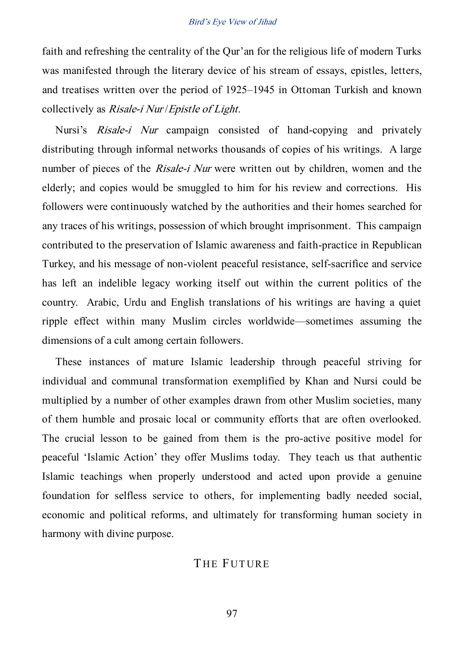faith and refreshing the centrality of the Qur'an for the religious life of modern Turks was manifested through the literary device of his stream of essays, epistles, letters, and treatises written over the period of 1925–1945 in Ottoman Turkish and known collectively as Risale-i Nur /Epistle of Light.

Nursi's Risale-i Nur campaign consisted of hand-copying and privately distributing through informal networks thousands of copies of his writings. A large number of pieces of the *Risale-i Nur* were written out by children, women and the elderly; and copies would be smuggled to him for his review and corrections. His followers were continuously watched by the authorities and their homes searched for any traces of his writings, possession of which brought imprisonment. This campaign contributed to the preservation of Islamic awareness and faith-practice in Republican Turkey, and his message of non-violent peaceful resistance, self-sacrifice and service has left an indelible legacy working itself out within the current politics of the country. Arabic, Urdu and English translations of his writings are having a quiet ripple effect within many Muslim circles worldwide—sometimes assuming the dimensions of a cult among certain followers.

These instances of mature Islamic leadership through peaceful striving for individual and communal transformation exemplified by Khan and Nursi could be multiplied by a number of other examples drawn from other Muslim societies, many of them humble and prosaic local or community efforts that are often overlooked. The crucial lesson to be gained from them is the pro-active positive model for peaceful 'Islamic Action' they offer Muslims today. They teach us that authentic Islamic teachings when properly understood and acted upon provide a genuine foundation for selfless service to others, for implementing badly needed social, economic and political reforms, and ultimately for transforming human society in harmony with divine purpose.

## THE FUTURE

97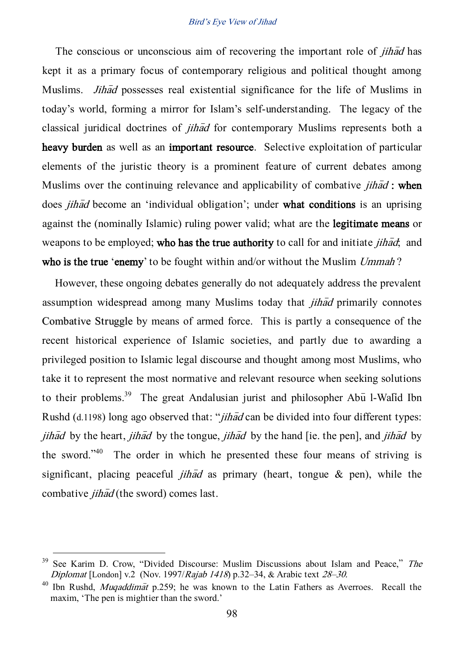The conscious or unconscious aim of recovering the important role of *jihad* has kept it as a primary focus of contemporary religious and political thought among Muslims. *Jihad* possesses real existential significance for the life of Muslims in today's world, forming a mirror for Islam's self-understanding. The legacy of the classical juridical doctrines of *jihad* for contemporary Muslims represents both a heavy burden as well as an important resource. Selective exploitation of particular elements of the juristic theory is a prominent feature of current debates among Muslims over the continuing relevance and applicability of combative *jihad* : when does *jihad* become an 'individual obligation'; under what conditions is an uprising against the (nominally Islamic) ruling power valid; what are the legitimate means or weapons to be employed; who has the true authority to call for and initiate *jihad*; and who is the true 'enemy' to be fought within and/or without the Muslim Ummah?

However, these ongoing debates generally do not adequately address the prevalent assumption widespread among many Muslims today that *jihad* primarily connotes Combative Struggle by means of armed force. This is partly a consequence of the recent historical experience of Islamic societies, and partly due to awarding a privileged position to Islamic legal discourse and thought among most Muslims, who take it to represent the most normative and relevant resource when seeking solutions to their problems.<sup>39</sup> The great Andalusian jurist and philosopher Ab $\bar{u}$  l-Walid Ibn Rushd (d.1198) long ago observed that: "*jihad* can be divided into four different types: jihad by the heart, jihad by the tongue, jihad by the hand [ie. the pen], and jihad by the sword." $40$  The order in which he presented these four means of striving is significant, placing peaceful *jihad* as primary (heart, tongue  $\&$  pen), while the combative *jihad* (the sword) comes last.

 $39$  See Karim D. Crow, "Divided Discourse: Muslim Discussions about Islam and Peace," The Diplomat [London] v.2 (Nov. 1997/Rajab 1418) p.32–34, & Arabic text 28–30.

<sup>&</sup>lt;sup>40</sup> Ibn Rushd, *Muqaddimat* p.259; he was known to the Latin Fathers as Averroes. Recall the maxim, 'The pen is mightier than the sword.'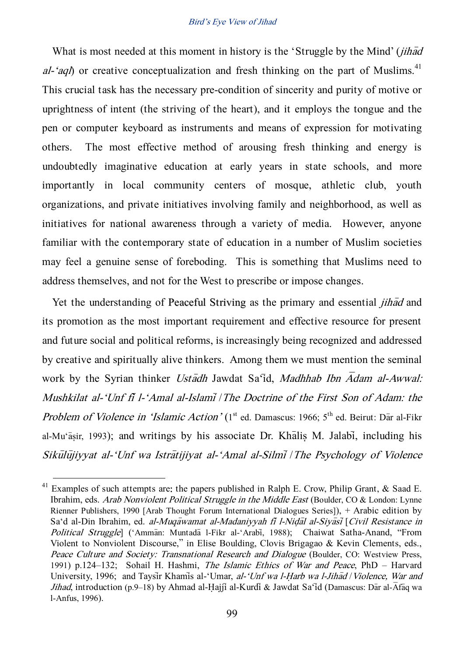What is most needed at this moment in history is the 'Struggle by the Mind' *(jihad*) al-'aql) or creative conceptualization and fresh thinking on the part of Muslims.<sup>41</sup> This crucial task has the necessary pre-condition of sincerity and purity of motive or uprightness of intent (the striving of the heart), and it employs the tongue and the pen or computer keyboard as instruments and means of expression for motivating others. The most effective method of arousing fresh thinking and energy is undoubtedly imaginative education at early years in state schools, and more importantly in local community centers of mosque, athletic club, youth organizations, and private initiatives involving family and neighborhood, as well as initiatives for national awareness through a variety of media. However, anyone familiar with the contemporary state of education in a number of Muslim societies may feel a genuine sense of foreboding. This is something that Muslims need to address themselves, and not for the West to prescribe or impose changes.

Yet the understanding of Peaceful Striving as the primary and essential *jihad* and its promotion as the most important requirement and effective resource for present and future social and political reforms, is increasingly being recognized and addressed by creative and spiritually alive thinkers. Among them we must mention the seminal work by the Syrian thinker Ustadh Jawdat Sa'id, Madhhab Ibn  $\overline{A}$ dam al-Awwal: Mushkilat al-'Unf fi l-'Amal al-Islami / The Doctrine of the First Son of Adam: the Problem of Violence in 'Islamic Action' (1<sup>st</sup> ed. Damascus: 1966; 5<sup>th</sup> ed. Beirut: Dar al-Fikr al-Mu'asir, 1993); and writings by his associate Dr. Khalis M. Jalabi, including his Sikūlūjiyyat al-'Unf wa Istrātijiyat al-'Amal al-Silmī / The Psychology of Violence

<sup>&</sup>lt;sup>41</sup> Examples of such attempts are: the papers published in Ralph E. Crow, Philip Grant, & Saad E. Ibrahim, eds. Arab Nonviolent Political Struggle in the Middle East (Boulder, CO & London: Lynne Rienner Publishers, 1990 [Arab Thought Forum International Dialogues Series]), + Arabic edition by Sa'd al-Din Ibrahim, ed. al-Muqawamat al-Madaniyyah fi l-Nidal al-Siyasi [Civil Resistance in Political Struggle] ('Amman: Muntada l-Fikr al-'Arabi, 1988); Chaiwat Satha-Anand, "From Violent to Nonviolent Discourse,' in Elise Boulding, Clovis Brigagao & Kevin Clements, eds., Peace Culture and Society: Transnational Research and Dialogue (Boulder, CO: Westview Press, 1991) p.124–132; Sohail H. Hashmi, The Islamic Ethics of War and Peace, PhD – Harvard University, 1996; and Taysir Khamis al-'Umar, al-'Unf wa l-Harb wa l-Jihad / Violence, War and Jihad, introduction (p.9–18) by Ahmad al-Hajji al-Kurdi & Jawdat Sa'id (Damascus: Dar al-Afaq wa l-Anfus, 1996).